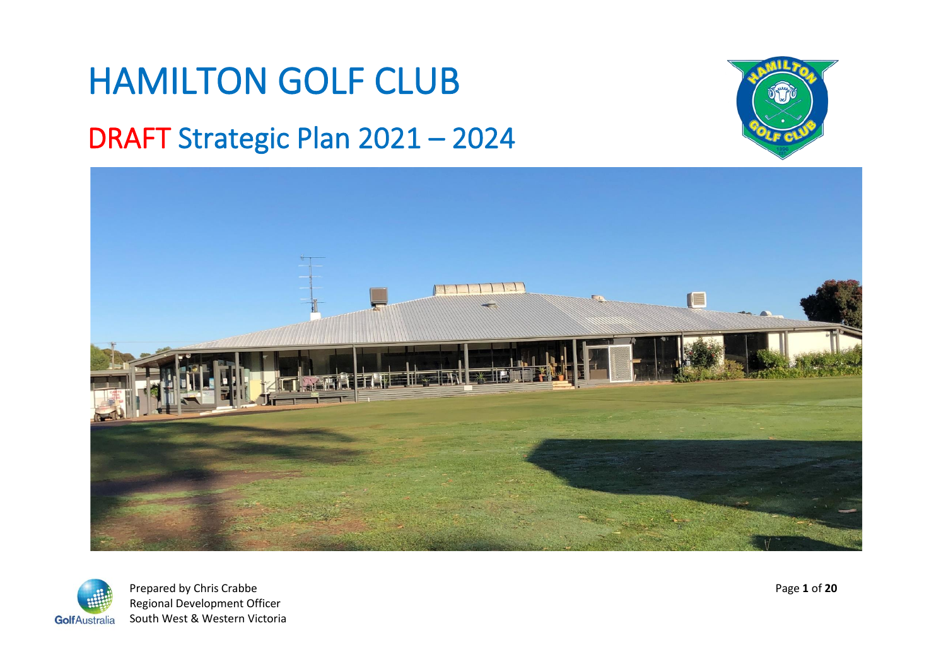# HAMILTON GOLF CLUB

### DRAFT Strategic Plan 2021 – 2024







Prepared by Chris Crabbe Page 1 of 20 Regional Development Officer GolfAustralia South West & Western Victoria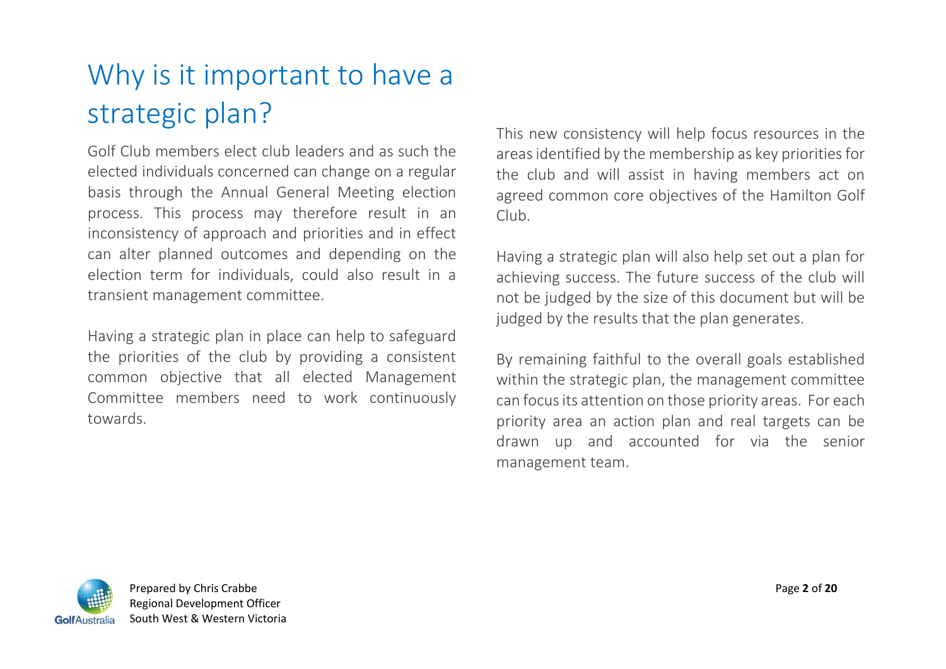# Why is it important to have a strategic plan?

Golf Club members elect club leaders and as such the elected individuals concerned can change on a regular basis through the Annual General Meeting election process. This process may therefore result in an inconsistency of approach and priorities and in effect can alter planned outcomes and depending on the election term for individuals, could also result in a transient management committee.

Having a strategic plan in place can help to safeguard the priorities of the club by providing a consistent common objective that all elected Management Committee members need to work continuously towards.

This new consistency will help focus resources in the areas identified by the membership as key priorities for the club and will assist in having members act on agreed common core objectives of the Hamilton Golf Club.

Having a strategic plan will also help set out a plan for achieving success. The future success of the club will not be judged by the size of this document but will be judged by the results that the plan generates.

By remaining faithful to the overall goals established within the strategic plan, the management committee can focus its attention on those priority areas. For each priority area an action plan and real targets can be drawn up and accounted for via the senior management team.

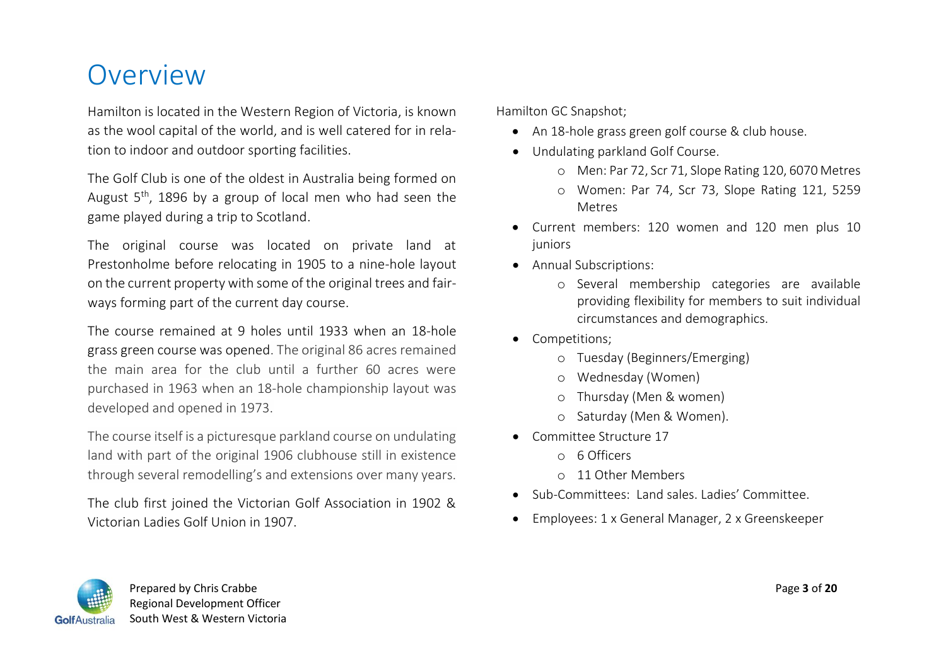### **Overview**

Hamilton is located in the Western Region of Victoria, is known as the wool capital of the world, and is well catered for in relation to indoor and outdoor sporting facilities.

The Golf Club is one of the oldest in Australia being formed on August  $5<sup>th</sup>$ , 1896 by a group of local men who had seen the game played during a trip to Scotland.

The original course was located on private land at Prestonholme before relocating in 1905 to a nine-hole layout on the current property with some of the original trees and fairways forming part of the current day course.

The course remained at 9 holes until 1933 when an 18-hole grass green course was opened. The original 86 acres remained the main area for the club until a further 60 acres were purchased in 1963 when an 18-hole championship layout was developed and opened in 1973.

The course itself is a picturesque parkland course on undulating land with part of the original 1906 clubhouse still in existence through several remodelling's and extensions over many years.

The club first joined the Victorian Golf Association in 1902 & Victorian Ladies Golf Union in 1907.

Hamilton GC Snapshot;

- An 18-hole grass green golf course & club house.
- Undulating parkland Golf Course.
	- o Men: Par 72, Scr 71, Slope Rating 120, 6070 Metres
	- o Women: Par 74, Scr 73, Slope Rating 121, 5259 Metres
- Current members: 120 women and 120 men plus 10 juniors
- Annual Subscriptions:
	- o Several membership categories are available providing flexibility for members to suit individual circumstances and demographics.
- Competitions;
	- o Tuesday (Beginners/Emerging)
	- o Wednesday (Women)
	- o Thursday (Men & women)
	- o Saturday (Men & Women).
- Committee Structure 17
	- o 6 Officers
	- o 11 Other Members
- Sub-Committees: Land sales. Ladies' Committee.
- Employees: 1 x General Manager, 2 x Greenskeeper



 Prepared by Chris Crabbe Page **3** of **20** Regional Development Officer GolfAustralia South West & Western Victoria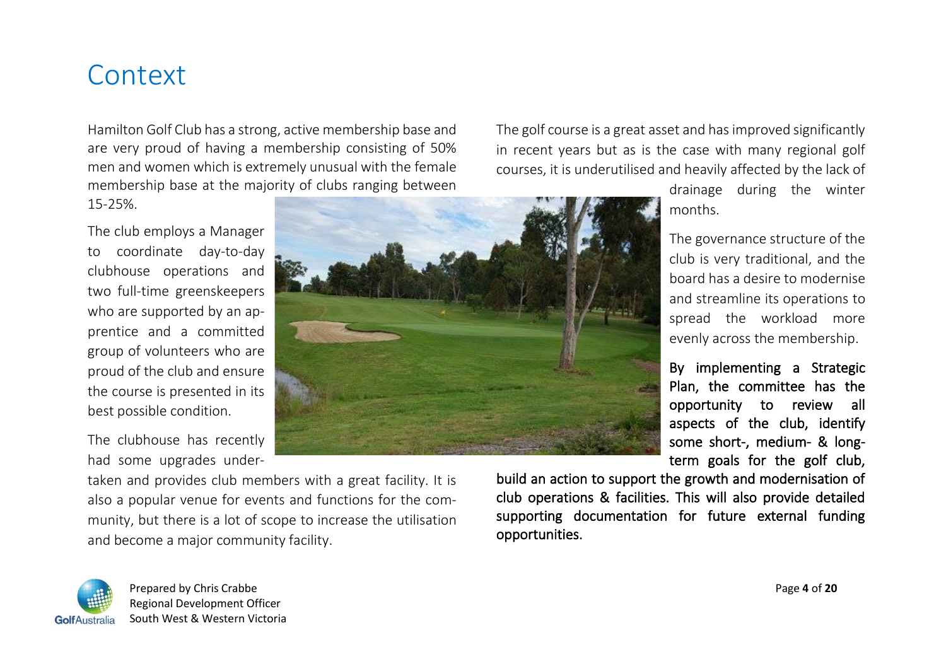### **Context**

Hamilton Golf Club has a strong, active membership base and are very proud of having a membership consisting of 50% men and women which is extremely unusual with the female membership base at the majority of clubs ranging between

15-25%.

The club employs a Manager to coordinate day-to-day clubhouse operations and two full-time greenskeepers who are supported by an apprentice and a committed group of volunteers who are proud of the club and ensure the course is presented in its best possible condition.

The clubhouse has recently had some upgrades under-



taken and provides club members with a great facility. It is also a popular venue for events and functions for the community, but there is a lot of scope to increase the utilisation and become a major community facility.

The golf course is a great asset and has improved significantly in recent years but as is the case with many regional golf courses, it is underutilised and heavily affected by the lack of

> drainage during the winter months.

> The governance structure of the club is very traditional, and the board has a desire to modernise and streamline its operations to spread the workload more evenly across the membership.

> By implementing a Strategic Plan, the committee has the opportunity to review all aspects of the club, identify some short-, medium- & longterm goals for the golf club,

build an action to support the growth and modernisation of club operations & facilities. This will also provide detailed supporting documentation for future external funding opportunities.



 Prepared by Chris Crabbe Page **4** of **20** Regional Development Officer GolfAustralia South West & Western Victoria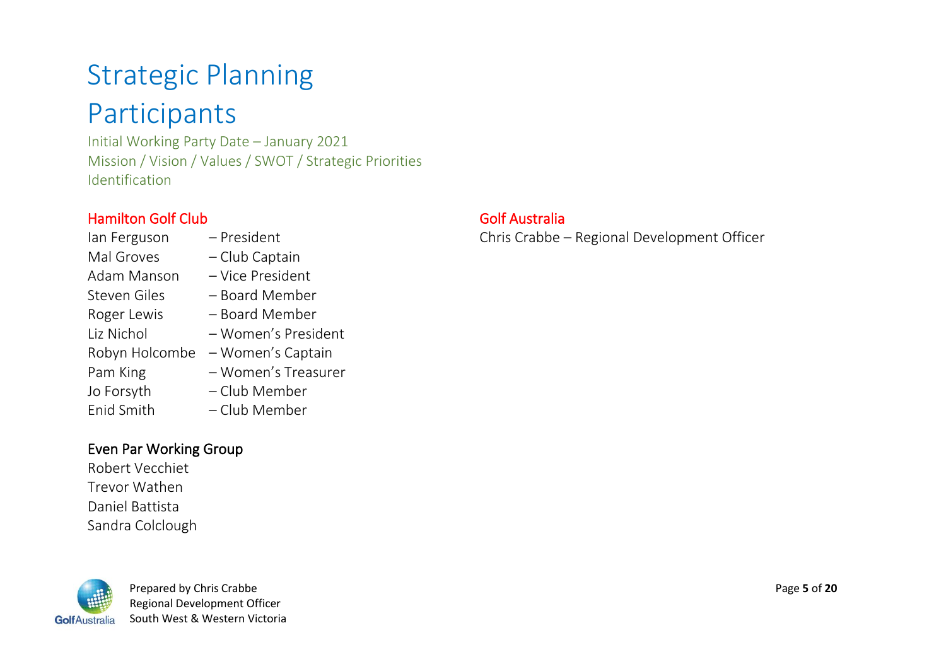# Strategic Planning

### Participants

Initial Working Party Date – January 2021 Mission / Vision / Values / SWOT / Strategic Priorities Identification

### Hamilton Golf Club

- Ian Ferguson President Mal Groves – Club Captain Adam Manson – Vice President Steven Giles – Board Member Roger Lewis – Board Member Liz Nichol – Women's President Robyn Holcombe – Women's Captain Pam King – Women's Treasurer Jo Forsyth – Club Member
- Enid Smith Club Member

#### Even Par Working Group

Robert Vecchiet Trevor Wathen Daniel Battista Sandra Colclough



 Prepared by Chris Crabbe Page **5** of **20** Regional Development Officer GolfAustralia South West & Western Victoria

#### Golf Australia

Chris Crabbe – Regional Development Officer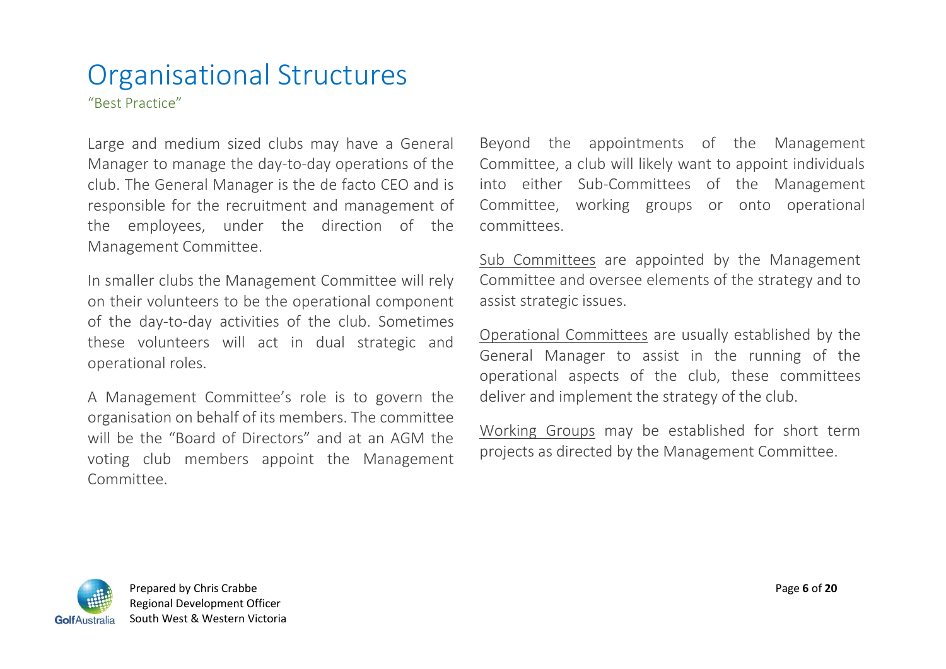### Organisational Structures

"Best Practice"

Large and medium sized clubs may have a General Manager to manage the day-to-day operations of the club. The General Manager is the de facto CEO and is responsible for the recruitment and management of the employees, under the direction of the Management Committee.

In smaller clubs the Management Committee will rely on their volunteers to be the operational component of the day-to-day activities of the club. Sometimes these volunteers will act in dual strategic and operational roles.

A Management Committee's role is to govern the organisation on behalf of its members. The committee will be the "Board of Directors" and at an AGM the voting club members appoint the Management Committee.

Beyond the appointments of the Management Committee, a club will likely want to appoint individuals into either Sub-Committees of the Management Committee, working groups or onto operational committees.

Sub Committees are appointed by the Management Committee and oversee elements of the strategy and to assist strategic issues.

Operational Committees are usually established by the General Manager to assist in the running of the operational aspects of the club, these committees deliver and implement the strategy of the club.

Working Groups may be established for short term projects as directed by the Management Committee.

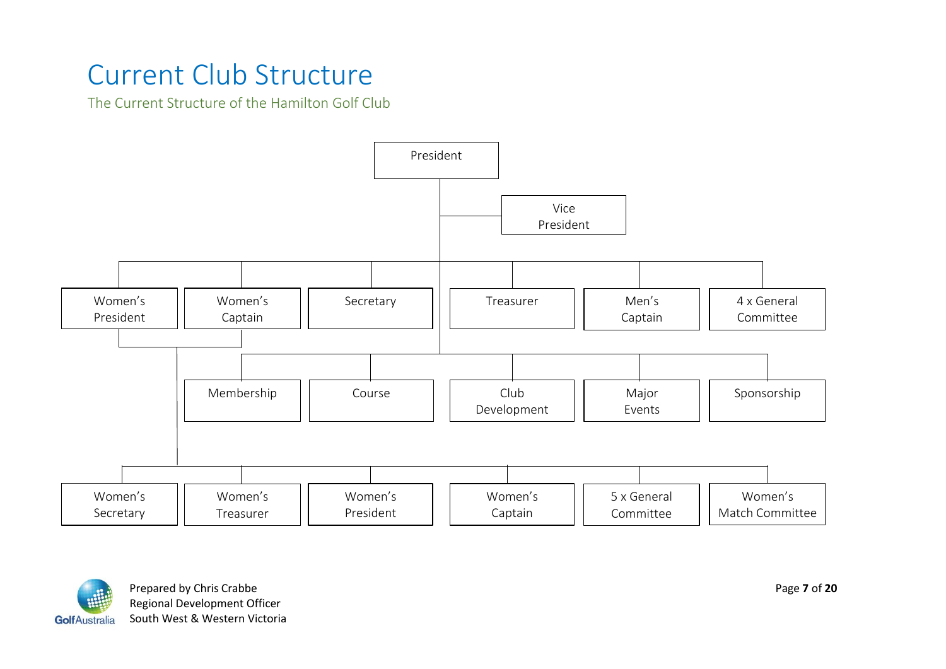### Current Club Structure

The Current Structure of the Hamilton Golf Club





Prepared by Chris Crabbe Page **7** of 20 Regional Development Officer GolfAustralia South West & Western Victoria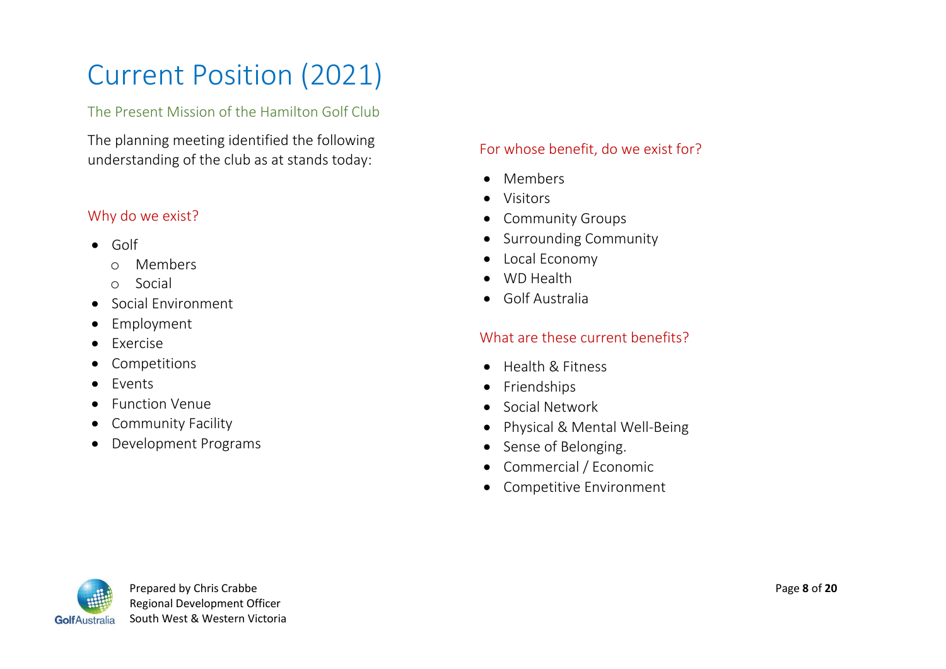# Current Position (2021)

#### The Present Mission of the Hamilton Golf Club

The planning meeting identified the following understanding of the club as at stands today:

#### Why do we exist?

- Golf
	- o Members
	- o Social
- Social Environment
- Employment
- Exercise
- Competitions
- Events
- Function Venue
- Community Facility
- Development Programs

#### For whose benefit, do we exist for?

- Members
- Visitors
- Community Groups
- Surrounding Community
- Local Economy
- WD Health
- Golf Australia

#### What are these current benefits?

- Health & Fitness
- Friendships
- Social Network
- Physical & Mental Well-Being
- Sense of Belonging.
- Commercial / Economic
- Competitive Environment

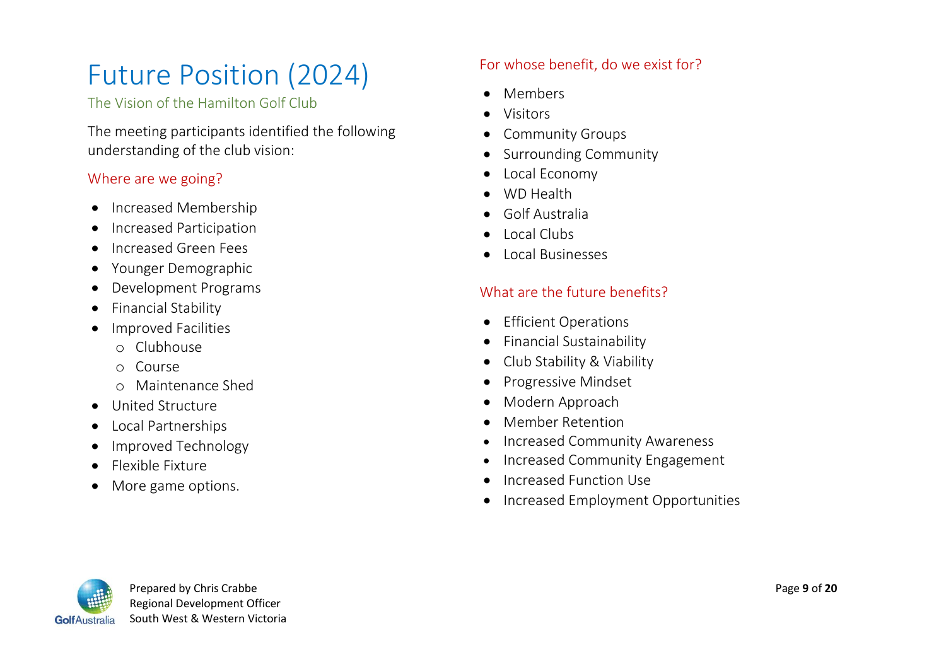# Future Position (2024)

The Vision of the Hamilton Golf Club

The meeting participants identified the following understanding of the club vision:

#### Where are we going?

- Increased Membership
- Increased Participation
- Increased Green Fees
- Younger Demographic
- Development Programs
- Financial Stability
- Improved Facilities
	- o Clubhouse
	- o Course
	- o Maintenance Shed
- United Structure
- Local Partnerships
- Improved Technology
- Flexible Fixture
- More game options.

### For whose benefit, do we exist for?

- Members
- Visitors
- Community Groups
- Surrounding Community
- Local Economy
- WD Health
- Golf Australia
- Local Clubs
- Local Businesses

### What are the future benefits?

- Efficient Operations
- Financial Sustainability
- Club Stability & Viability
- Progressive Mindset
- Modern Approach
- Member Retention
- Increased Community Awareness
- Increased Community Engagement
- Increased Function Use
- Increased Employment Opportunities

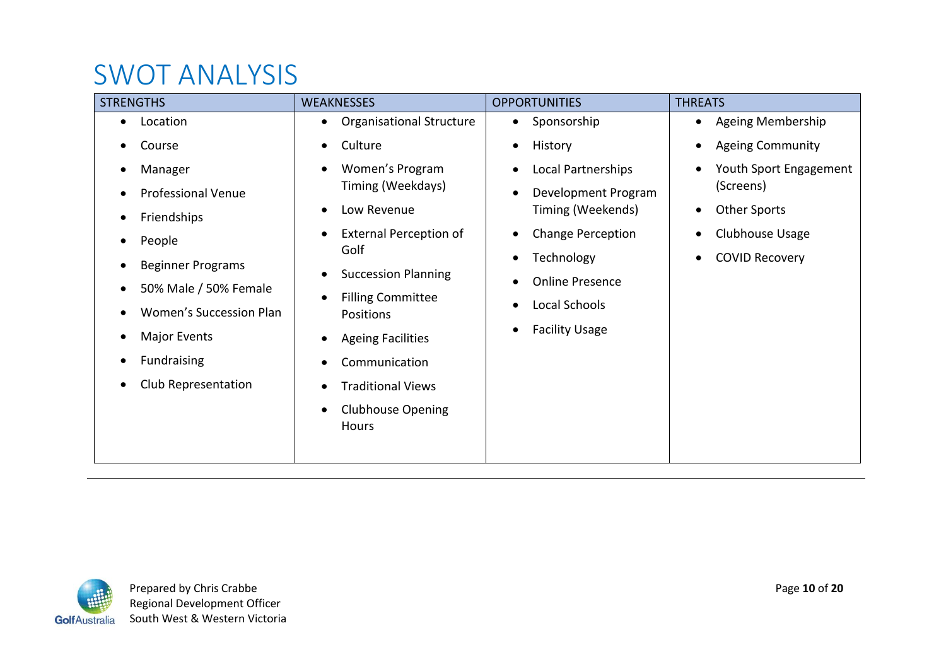### SWOT ANALYSIS

| <b>STRENGTHS</b>          | <b>WEAKNESSES</b>                                  | <b>OPPORTUNITIES</b>     | <b>THREATS</b>                 |
|---------------------------|----------------------------------------------------|--------------------------|--------------------------------|
| Location<br>$\bullet$     | <b>Organisational Structure</b><br>$\bullet$       | Sponsorship<br>$\bullet$ | Ageing Membership<br>$\bullet$ |
| Course                    | Culture<br>$\bullet$                               | History<br>٠             | <b>Ageing Community</b>        |
| Manager                   | Women's Program<br>$\bullet$                       | Local Partnerships       | Youth Sport Engagement         |
| <b>Professional Venue</b> | Timing (Weekdays)                                  | Development Program      | (Screens)                      |
| Friendships               | Low Revenue<br>$\bullet$                           | Timing (Weekends)        | <b>Other Sports</b>            |
| People                    | <b>External Perception of</b><br>$\bullet$<br>Golf | <b>Change Perception</b> | Clubhouse Usage                |
| <b>Beginner Programs</b>  |                                                    | Technology               | <b>COVID Recovery</b>          |
| 50% Male / 50% Female     | <b>Succession Planning</b><br>$\bullet$            | <b>Online Presence</b>   |                                |
| Women's Succession Plan   | <b>Filling Committee</b><br>$\bullet$<br>Positions | Local Schools            |                                |
| Major Events              | <b>Ageing Facilities</b><br>$\bullet$              | <b>Facility Usage</b>    |                                |
| <b>Fundraising</b>        | Communication                                      |                          |                                |
| Club Representation       | <b>Traditional Views</b><br>$\bullet$              |                          |                                |
|                           | <b>Clubhouse Opening</b><br>$\bullet$<br>Hours     |                          |                                |

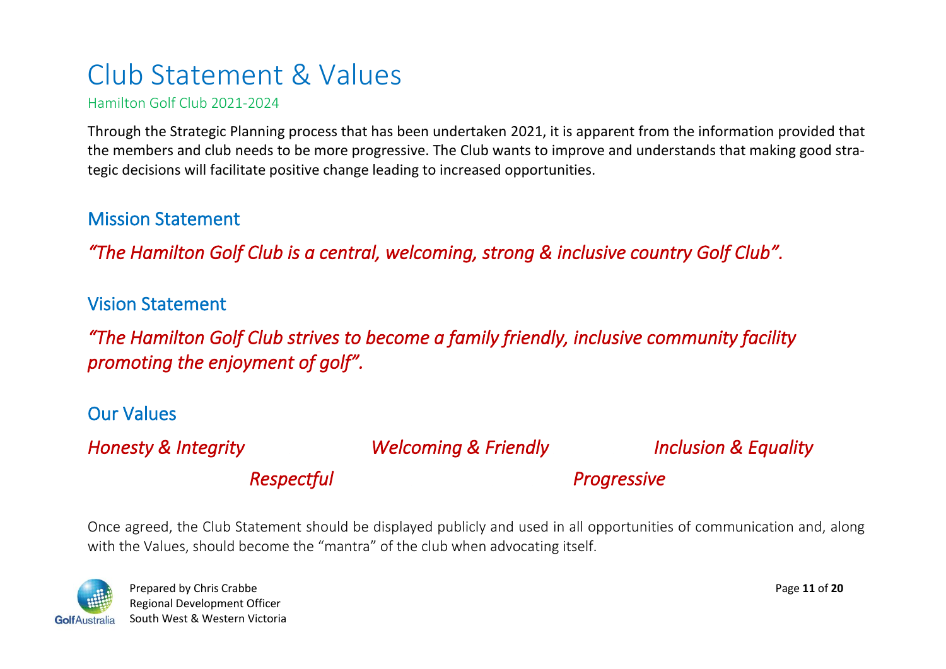### Club Statement & Values

Hamilton Golf Club 2021-2024

Through the Strategic Planning process that has been undertaken 2021, it is apparent from the information provided that the members and club needs to be more progressive. The Club wants to improve and understands that making good strategic decisions will facilitate positive change leading to increased opportunities.

### Mission Statement

*"The Hamilton Golf Club is a central, welcoming, strong & inclusive country Golf Club".* 

Vision Statement

*"The Hamilton Golf Club strives to become a family friendly, inclusive community facility promoting the enjoyment of golf".* 

### Our Values

*Honesty & Integrity Welcoming & Friendly Inclusion & Equality* 

*Respectful Progressive* 

Once agreed, the Club Statement should be displayed publicly and used in all opportunities of communication and, along with the Values, should become the "mantra" of the club when advocating itself.



 Prepared by Chris Crabbe Page **11** of **20** Regional Development Officer GolfAustralia South West & Western Victoria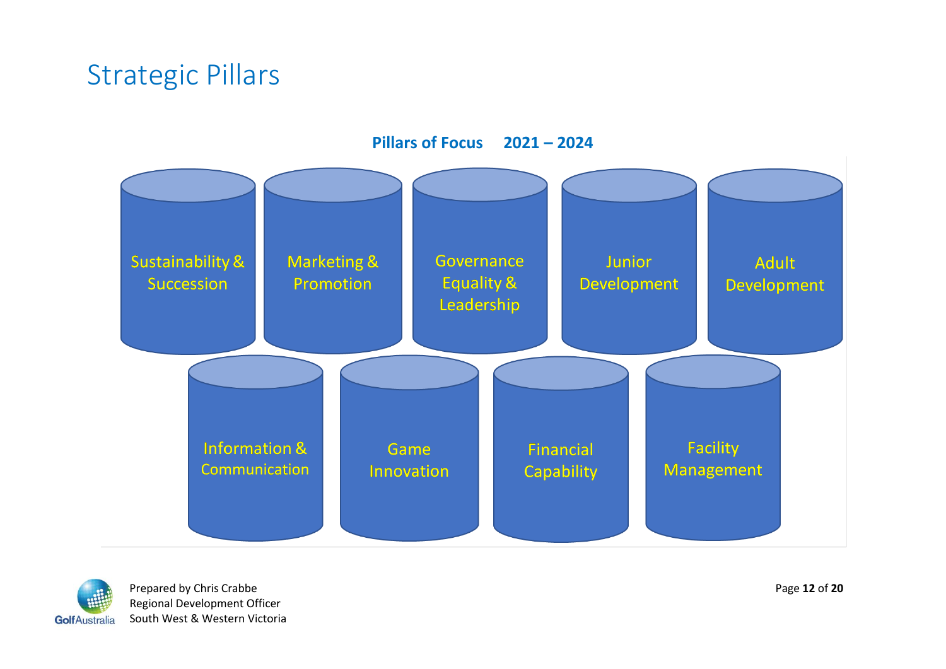### Strategic Pillars



**Pillars of Focus 2021 – 2024**



Prepared by Chris Crabbe **Page 12** of 20 Regional Development Officer Golf Australia South West & Western Victoria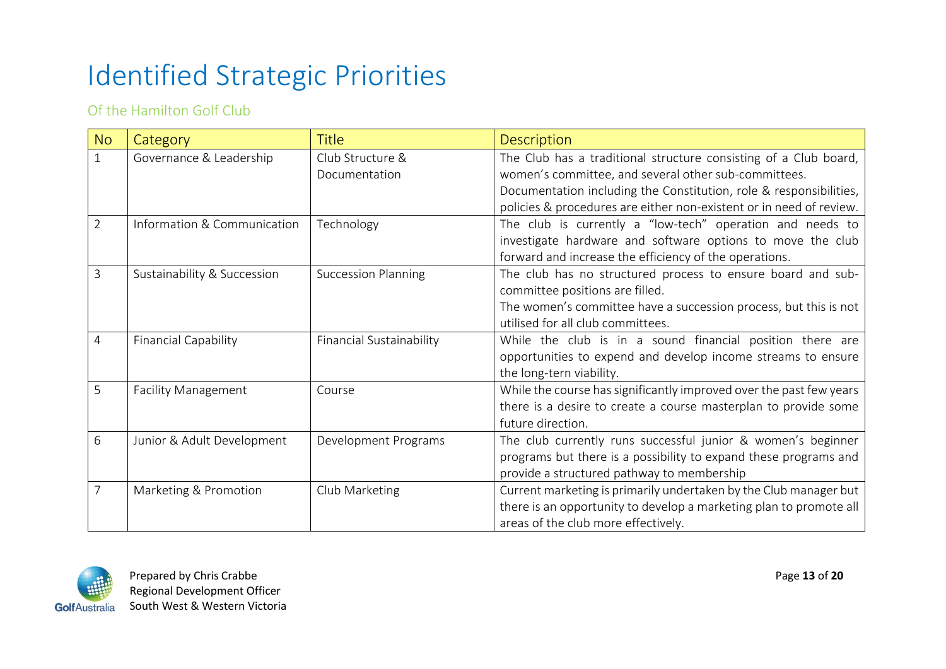# Identified Strategic Priorities

Of the Hamilton Golf Club

| <b>No</b>      | Category                    | <b>Title</b>               | Description                                                         |  |
|----------------|-----------------------------|----------------------------|---------------------------------------------------------------------|--|
|                | Governance & Leadership     | Club Structure &           | The Club has a traditional structure consisting of a Club board,    |  |
|                |                             | Documentation              | women's committee, and several other sub-committees.                |  |
|                |                             |                            | Documentation including the Constitution, role & responsibilities,  |  |
|                |                             |                            | policies & procedures are either non-existent or in need of review. |  |
| $\overline{2}$ | Information & Communication | Technology                 | The club is currently a "low-tech" operation and needs to           |  |
|                |                             |                            | investigate hardware and software options to move the club          |  |
|                |                             |                            | forward and increase the efficiency of the operations.              |  |
| 3              | Sustainability & Succession | <b>Succession Planning</b> | The club has no structured process to ensure board and sub-         |  |
|                |                             |                            | committee positions are filled.                                     |  |
|                |                             |                            | The women's committee have a succession process, but this is not    |  |
|                |                             |                            | utilised for all club committees.                                   |  |
| 4              | <b>Financial Capability</b> | Financial Sustainability   | While the club is in a sound financial position there are           |  |
|                |                             |                            | opportunities to expend and develop income streams to ensure        |  |
|                |                             |                            | the long-tern viability.                                            |  |
| 5              | <b>Facility Management</b>  | Course                     | While the course has significantly improved over the past few years |  |
|                |                             |                            | there is a desire to create a course masterplan to provide some     |  |
|                |                             |                            | future direction.                                                   |  |
| 6              | Junior & Adult Development  | Development Programs       | The club currently runs successful junior & women's beginner        |  |
|                |                             |                            | programs but there is a possibility to expand these programs and    |  |
|                |                             |                            | provide a structured pathway to membership                          |  |
|                | Marketing & Promotion       | Club Marketing             | Current marketing is primarily undertaken by the Club manager but   |  |
|                |                             |                            | there is an opportunity to develop a marketing plan to promote all  |  |
|                |                             |                            | areas of the club more effectively.                                 |  |



Prepared by Chris Crabbe **Page 13** of 20 Regional Development Officer GolfAustralia South West & Western Victoria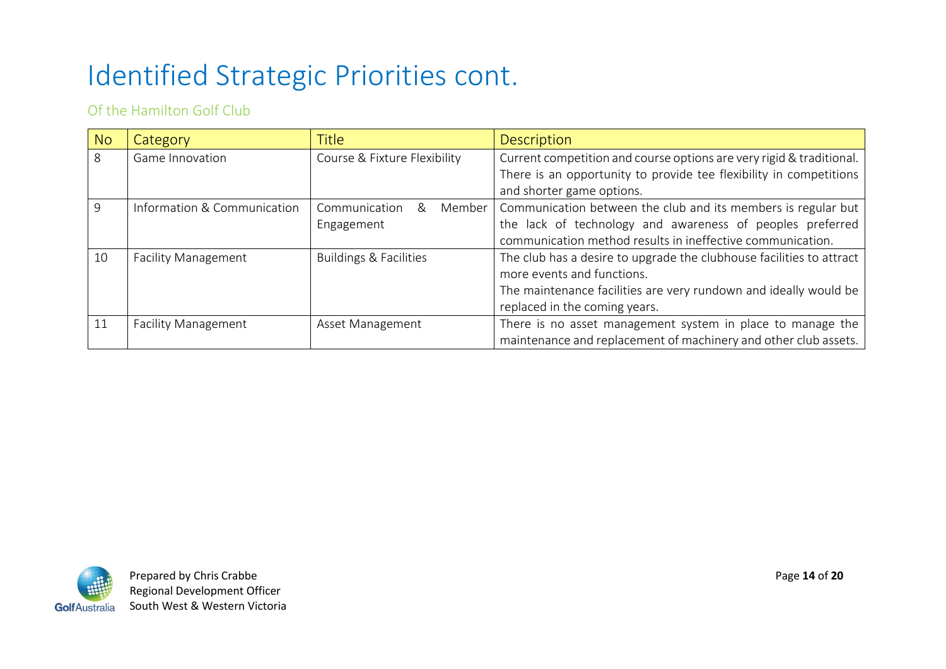# Identified Strategic Priorities cont.

#### Of the Hamilton Golf Club

| No | Category                    | <b>Title</b>                      | <b>Description</b>                                                   |  |
|----|-----------------------------|-----------------------------------|----------------------------------------------------------------------|--|
| 8  | Game Innovation             | Course & Fixture Flexibility      | Current competition and course options are very rigid & traditional. |  |
|    |                             |                                   | There is an opportunity to provide tee flexibility in competitions   |  |
|    |                             |                                   | and shorter game options.                                            |  |
| 9  | Information & Communication | Communication<br>Member<br>&      | Communication between the club and its members is regular but        |  |
|    |                             | Engagement                        | the lack of technology and awareness of peoples preferred            |  |
|    |                             |                                   | communication method results in ineffective communication.           |  |
| 10 | <b>Facility Management</b>  | <b>Buildings &amp; Facilities</b> | The club has a desire to upgrade the clubhouse facilities to attract |  |
|    |                             |                                   | more events and functions.                                           |  |
|    |                             |                                   | The maintenance facilities are very rundown and ideally would be     |  |
|    |                             |                                   | replaced in the coming years.                                        |  |
| 11 | <b>Facility Management</b>  | Asset Management                  | There is no asset management system in place to manage the           |  |
|    |                             |                                   | maintenance and replacement of machinery and other club assets.      |  |

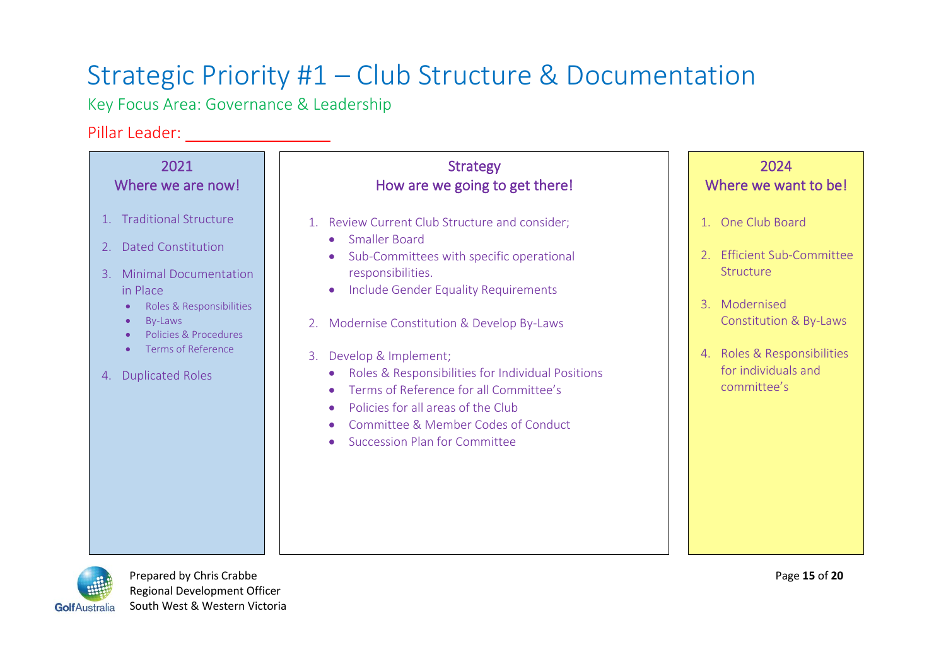### Strategic Priority #1 – Club Structure & Documentation

Key Focus Area: Governance & Leadership

# Pillar Leader:

| 2021                                                                                                                                                                                                                                                                                          | <b>Strategy</b>                                                                                                                                                                                                                                                                                                                                                                                                                                                                                                                  | 2024                                                                                                                                                                                           |
|-----------------------------------------------------------------------------------------------------------------------------------------------------------------------------------------------------------------------------------------------------------------------------------------------|----------------------------------------------------------------------------------------------------------------------------------------------------------------------------------------------------------------------------------------------------------------------------------------------------------------------------------------------------------------------------------------------------------------------------------------------------------------------------------------------------------------------------------|------------------------------------------------------------------------------------------------------------------------------------------------------------------------------------------------|
| Where we are now!                                                                                                                                                                                                                                                                             | How are we going to get there!                                                                                                                                                                                                                                                                                                                                                                                                                                                                                                   | Where we want to be!                                                                                                                                                                           |
| <b>Traditional Structure</b><br>$1_{-}$<br><b>Dated Constitution</b><br>2.<br>3. Minimal Documentation<br>in Place<br>Roles & Responsibilities<br>$\bullet$<br>By-Laws<br>$\bullet$<br>Policies & Procedures<br>$\bullet$<br>Terms of Reference<br>$\bullet$<br><b>Duplicated Roles</b><br>4. | 1. Review Current Club Structure and consider;<br>Smaller Board<br>$\bullet$<br>Sub-Committees with specific operational<br>$\bullet$<br>responsibilities.<br>Include Gender Equality Requirements<br>Modernise Constitution & Develop By-Laws<br>2.<br>Develop & Implement;<br>3.<br>Roles & Responsibilities for Individual Positions<br>$\bullet$<br>Terms of Reference for all Committee's<br>Policies for all areas of the Club<br>$\bullet$<br>Committee & Member Codes of Conduct<br><b>Succession Plan for Committee</b> | 1. One Club Board<br><b>Efficient Sub-Committee</b><br>Structure<br>Modernised<br>$\mathcal{R}$<br>Constitution & By-Laws<br>4. Roles & Responsibilities<br>for individuals and<br>committee's |



Prepared by Chris Crabbe **Page 15** of 20 Regional Development Officer Golf Australia South West & Western Victoria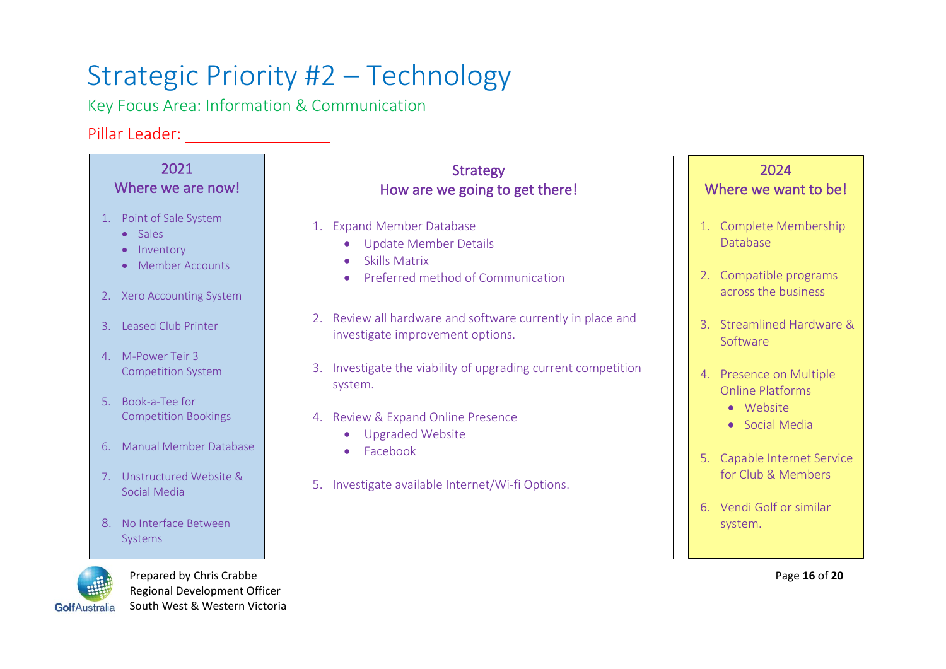# Strategic Priority #2 – Technology

Key Focus Area: Information & Communication

#### Pillar Leader:



 Regional Development Officer Golf Australia South West & Western Victoria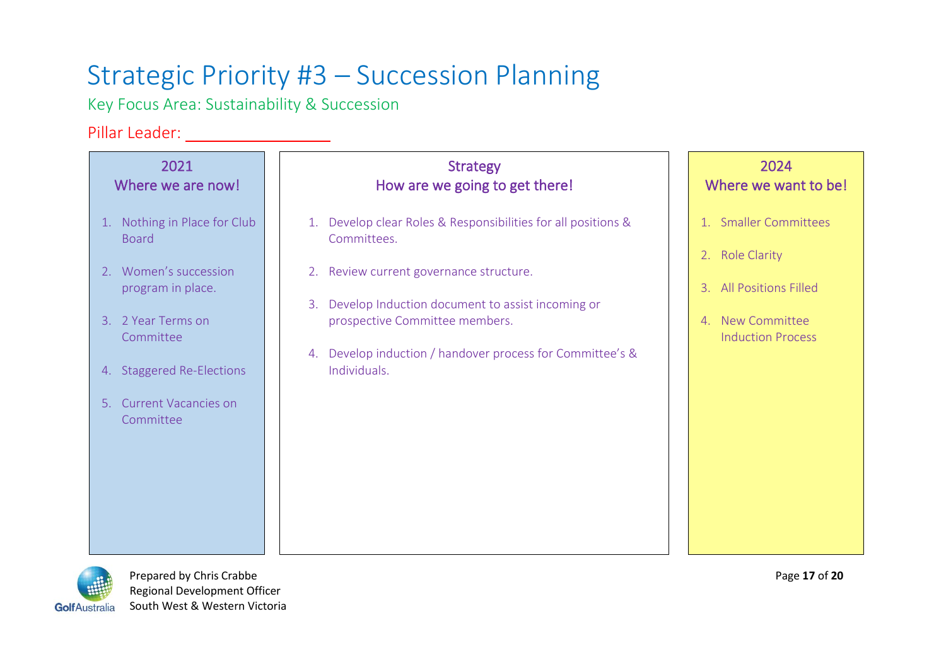### Strategic Priority #3 – Succession Planning

Key Focus Area: Sustainability & Succession

### Pillar Leader:

| 2021                                                                                                                                               | <b>Strategy</b>                                                                                                                                                                                               | 2024                                                                    |
|----------------------------------------------------------------------------------------------------------------------------------------------------|---------------------------------------------------------------------------------------------------------------------------------------------------------------------------------------------------------------|-------------------------------------------------------------------------|
| Where we are now!                                                                                                                                  | How are we going to get there!                                                                                                                                                                                | Where we want to be!                                                    |
| 1. Nothing in Place for Club                                                                                                                       | 1. Develop clear Roles & Responsibilities for all positions &                                                                                                                                                 | 1. Smaller Committees                                                   |
| <b>Board</b>                                                                                                                                       | Committees.                                                                                                                                                                                                   | 2. Role Clarity                                                         |
| 2. Women's succession<br>program in place.<br>3. 2 Year Terms on<br>Committee<br>4. Staggered Re-Elections<br>5. Current Vacancies on<br>Committee | 2. Review current governance structure.<br>3. Develop Induction document to assist incoming or<br>prospective Committee members.<br>4. Develop induction / handover process for Committee's &<br>Individuals. | 3. All Positions Filled<br>4. New Committee<br><b>Induction Process</b> |
|                                                                                                                                                    |                                                                                                                                                                                                               |                                                                         |



Prepared by Chris Crabbe Page 17 of 20 Regional Development Officer GolfAustralia South West & Western Victoria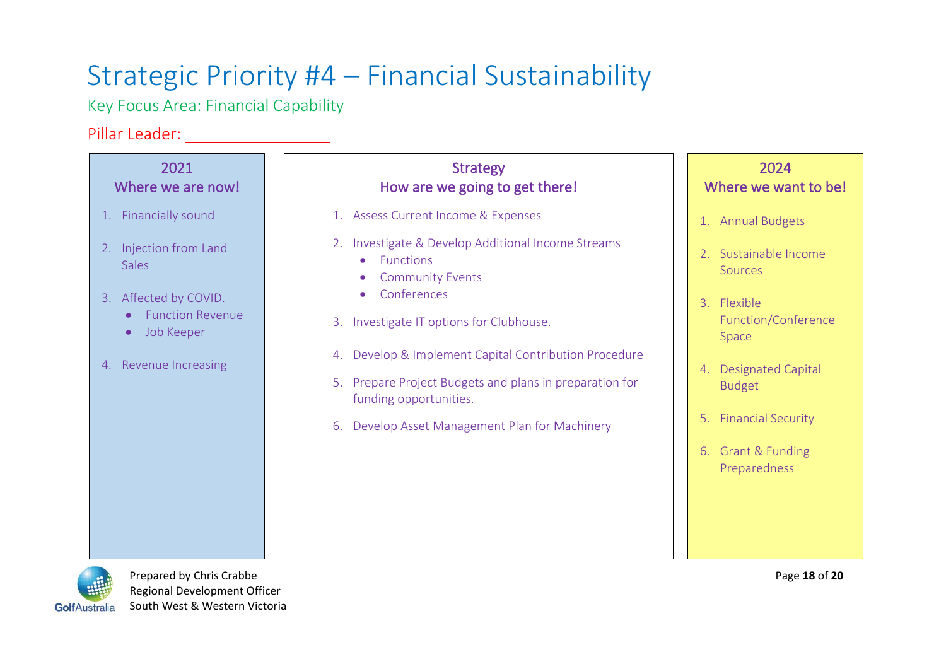# Strategic Priority #4 – Financial Sustainability

Key Focus Area: Financial Capability

### Pillar Leader: \_\_\_\_\_\_\_\_\_\_\_\_\_\_\_\_\_\_\_

| 2021<br>Where we are now!                                                                                                                                 | <b>Strategy</b><br>How are we going to get there!                                                                                                                                                                                                                                                                                                                                                                               | 2024<br>Where we want to be!                                                                                                                                                                                                                    |
|-----------------------------------------------------------------------------------------------------------------------------------------------------------|---------------------------------------------------------------------------------------------------------------------------------------------------------------------------------------------------------------------------------------------------------------------------------------------------------------------------------------------------------------------------------------------------------------------------------|-------------------------------------------------------------------------------------------------------------------------------------------------------------------------------------------------------------------------------------------------|
| 1. Financially sound<br>2. Injection from Land<br><b>Sales</b><br>3. Affected by COVID.<br><b>Function Revenue</b><br>Job Keeper<br>4. Revenue Increasing | 1. Assess Current Income & Expenses<br>2. Investigate & Develop Additional Income Streams<br>Functions<br>$\bullet$<br><b>Community Events</b><br>Conferences<br>$\bullet$<br>3. Investigate IT options for Clubhouse.<br>Develop & Implement Capital Contribution Procedure<br>4.<br>Prepare Project Budgets and plans in preparation for<br>5.<br>funding opportunities.<br>Develop Asset Management Plan for Machinery<br>6. | 1. Annual Budgets<br>2. Sustainable Income<br><b>Sources</b><br>3. Flexible<br>Function/Conference<br>Space<br>Designated Capital<br>4.<br><b>Budget</b><br><b>Financial Security</b><br>5.<br><b>Grant &amp; Funding</b><br>6.<br>Preparedness |
|                                                                                                                                                           |                                                                                                                                                                                                                                                                                                                                                                                                                                 |                                                                                                                                                                                                                                                 |



Prepared by Chris Crabbe **Page 18** of 20 Regional Development Officer GolfAustralia South West & Western Victoria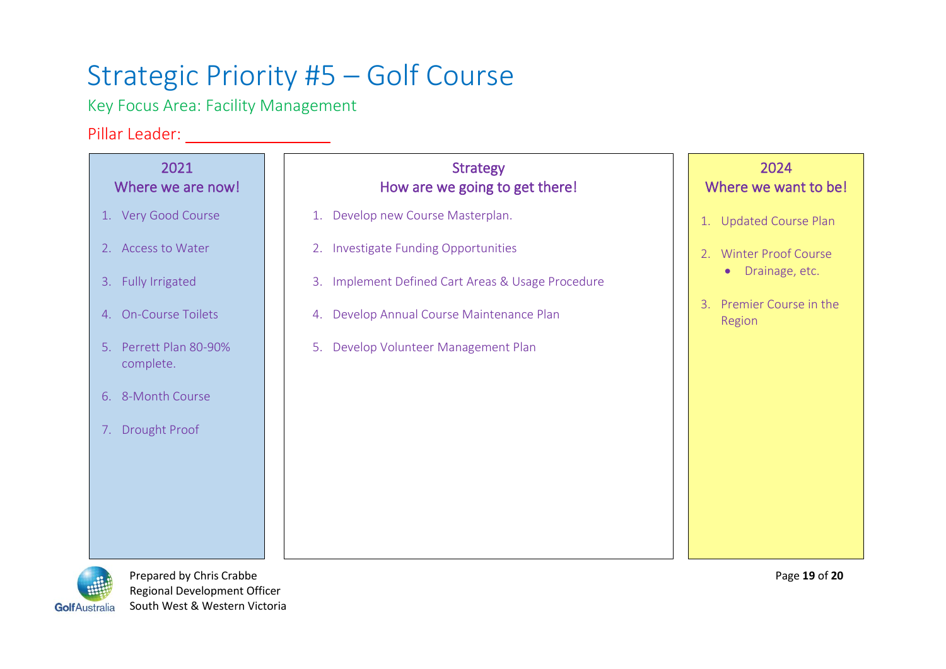# Strategic Priority #5 – Golf Course

Key Focus Area: Facility Management

### Pillar Leader:

| 2021<br>Where we are now!           | <b>Strategy</b><br>How are we going to get there! | 2024<br>Where we want to be!                    |
|-------------------------------------|---------------------------------------------------|-------------------------------------------------|
| 1. Very Good Course                 | 1. Develop new Course Masterplan.                 | 1. Updated Course Plan                          |
| 2. Access to Water                  | 2. Investigate Funding Opportunities              | 2. Winter Proof Course                          |
| 3. Fully Irrigated                  | 3. Implement Defined Cart Areas & Usage Procedure | • Drainage, etc.                                |
| 4. On-Course Toilets                | 4. Develop Annual Course Maintenance Plan         | Premier Course in the<br>$\mathbf{B}$<br>Region |
| 5. Perrett Plan 80-90%<br>complete. | 5. Develop Volunteer Management Plan              |                                                 |
| 6. 8-Month Course                   |                                                   |                                                 |
| 7. Drought Proof                    |                                                   |                                                 |
|                                     |                                                   |                                                 |
|                                     |                                                   |                                                 |
|                                     |                                                   |                                                 |
|                                     |                                                   |                                                 |



Prepared by Chris Crabbe Page 19 of 20 Regional Development Officer GolfAustralia South West & Western Victoria